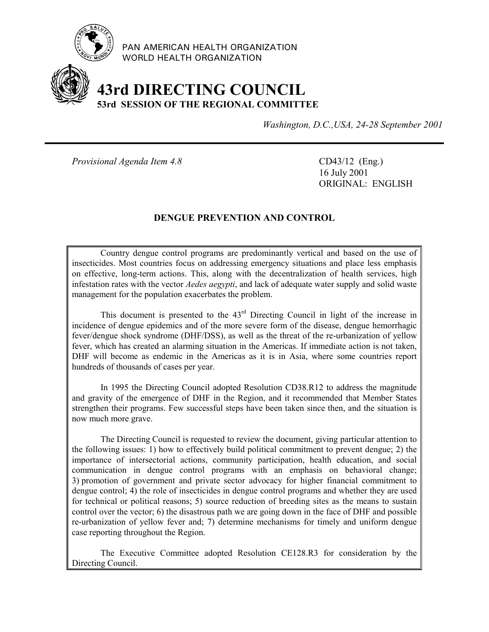

PAN AMERICAN HEALTH ORGANIZATION WORLD HEALTH ORGANIZATION

# **43rd DIRECTING COUNCIL 53rd SESSION OF THE REGIONAL COMMITTEE**

*Washington, D.C.,USA, 24-28 September 2001*

*Provisional Agenda Item 4.8* CD43/12 (Eng.)

16 July 2001 ORIGINAL: ENGLISH

# **DENGUE PREVENTION AND CONTROL**

Country dengue control programs are predominantly vertical and based on the use of insecticides. Most countries focus on addressing emergency situations and place less emphasis on effective, long-term actions. This, along with the decentralization of health services, high infestation rates with the vector *Aedes aegypti*, and lack of adequate water supply and solid waste management for the population exacerbates the problem.

This document is presented to the 43rd Directing Council in light of the increase in incidence of dengue epidemics and of the more severe form of the disease, dengue hemorrhagic fever/dengue shock syndrome (DHF/DSS), as well as the threat of the re-urbanization of yellow fever, which has created an alarming situation in the Americas. If immediate action is not taken, DHF will become as endemic in the Americas as it is in Asia, where some countries report hundreds of thousands of cases per year.

In 1995 the Directing Council adopted Resolution CD38.R12 to address the magnitude and gravity of the emergence of DHF in the Region, and it recommended that Member States strengthen their programs. Few successful steps have been taken since then, and the situation is now much more grave.

The Directing Council is requested to review the document, giving particular attention to the following issues: 1) how to effectively build political commitment to prevent dengue; 2) the importance of intersectorial actions, community participation, health education, and social communication in dengue control programs with an emphasis on behavioral change; 3) promotion of government and private sector advocacy for higher financial commitment to dengue control; 4) the role of insecticides in dengue control programs and whether they are used for technical or political reasons; 5) source reduction of breeding sites as the means to sustain control over the vector; 6) the disastrous path we are going down in the face of DHF and possible re-urbanization of yellow fever and; 7) determine mechanisms for timely and uniform dengue case reporting throughout the Region.

The Executive Committee adopted Resolution CE128.R3 for consideration by the Directing Council.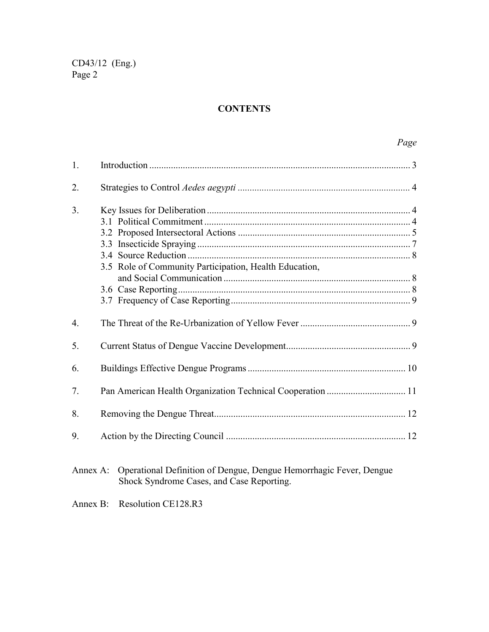# **CONTENTS**

|                  | Page                                                                        |
|------------------|-----------------------------------------------------------------------------|
| 1.               |                                                                             |
| 2.               |                                                                             |
| 3.               | 3.5 Role of Community Participation, Health Education,                      |
| $\overline{4}$ . |                                                                             |
| 5.               |                                                                             |
| 6.               |                                                                             |
| 7.               |                                                                             |
| 8.               |                                                                             |
| 9.               |                                                                             |
|                  | Annex A: Operational Definition of Dengue, Dengue Hemorrhagic Fever, Dengue |

- Shock Syndrome Cases, and Case Reporting.
- Annex B: Resolution CE128.R3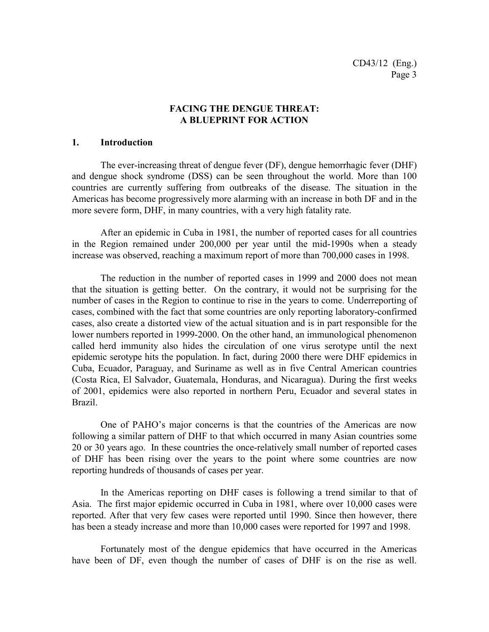#### **FACING THE DENGUE THREAT: A BLUEPRINT FOR ACTION**

#### **1. Introduction**

The ever-increasing threat of dengue fever (DF), dengue hemorrhagic fever (DHF) and dengue shock syndrome (DSS) can be seen throughout the world. More than 100 countries are currently suffering from outbreaks of the disease. The situation in the Americas has become progressively more alarming with an increase in both DF and in the more severe form, DHF, in many countries, with a very high fatality rate.

After an epidemic in Cuba in 1981, the number of reported cases for all countries in the Region remained under 200,000 per year until the mid-1990s when a steady increase was observed, reaching a maximum report of more than 700,000 cases in 1998.

The reduction in the number of reported cases in 1999 and 2000 does not mean that the situation is getting better. On the contrary, it would not be surprising for the number of cases in the Region to continue to rise in the years to come. Underreporting of cases, combined with the fact that some countries are only reporting laboratory-confirmed cases, also create a distorted view of the actual situation and is in part responsible for the lower numbers reported in 1999-2000. On the other hand, an immunological phenomenon called herd immunity also hides the circulation of one virus serotype until the next epidemic serotype hits the population. In fact, during 2000 there were DHF epidemics in Cuba, Ecuador, Paraguay, and Suriname as well as in five Central American countries (Costa Rica, El Salvador, Guatemala, Honduras, and Nicaragua). During the first weeks of 2001, epidemics were also reported in northern Peru, Ecuador and several states in Brazil.

One of PAHO's major concerns is that the countries of the Americas are now following a similar pattern of DHF to that which occurred in many Asian countries some 20 or 30 years ago. In these countries the once-relatively small number of reported cases of DHF has been rising over the years to the point where some countries are now reporting hundreds of thousands of cases per year.

In the Americas reporting on DHF cases is following a trend similar to that of Asia. The first major epidemic occurred in Cuba in 1981, where over 10,000 cases were reported. After that very few cases were reported until 1990. Since then however, there has been a steady increase and more than 10,000 cases were reported for 1997 and 1998.

Fortunately most of the dengue epidemics that have occurred in the Americas have been of DF, even though the number of cases of DHF is on the rise as well.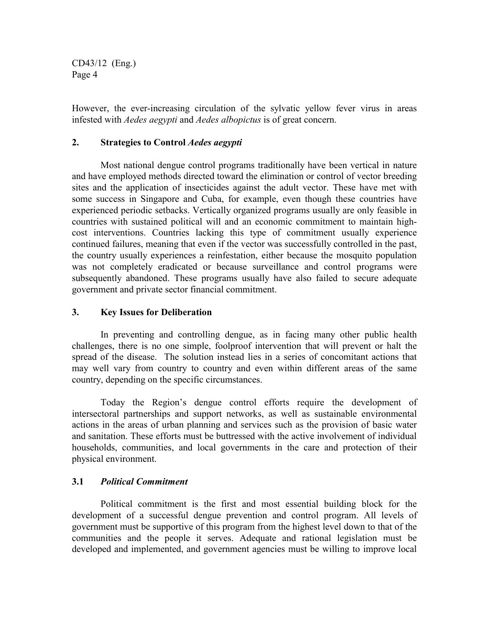However, the ever-increasing circulation of the sylvatic yellow fever virus in areas infested with *Aedes aegypti* and *Aedes albopictus* is of great concern.

# **2. Strategies to Control** *Aedes aegypti*

Most national dengue control programs traditionally have been vertical in nature and have employed methods directed toward the elimination or control of vector breeding sites and the application of insecticides against the adult vector. These have met with some success in Singapore and Cuba, for example, even though these countries have experienced periodic setbacks. Vertically organized programs usually are only feasible in countries with sustained political will and an economic commitment to maintain highcost interventions. Countries lacking this type of commitment usually experience continued failures, meaning that even if the vector was successfully controlled in the past, the country usually experiences a reinfestation, either because the mosquito population was not completely eradicated or because surveillance and control programs were subsequently abandoned. These programs usually have also failed to secure adequate government and private sector financial commitment.

#### **3. Key Issues for Deliberation**

In preventing and controlling dengue, as in facing many other public health challenges, there is no one simple, foolproof intervention that will prevent or halt the spread of the disease. The solution instead lies in a series of concomitant actions that may well vary from country to country and even within different areas of the same country, depending on the specific circumstances.

Today the Region's dengue control efforts require the development of intersectoral partnerships and support networks, as well as sustainable environmental actions in the areas of urban planning and services such as the provision of basic water and sanitation. These efforts must be buttressed with the active involvement of individual households, communities, and local governments in the care and protection of their physical environment.

# **3.1** *Political Commitment*

Political commitment is the first and most essential building block for the development of a successful dengue prevention and control program. All levels of government must be supportive of this program from the highest level down to that of the communities and the people it serves. Adequate and rational legislation must be developed and implemented, and government agencies must be willing to improve local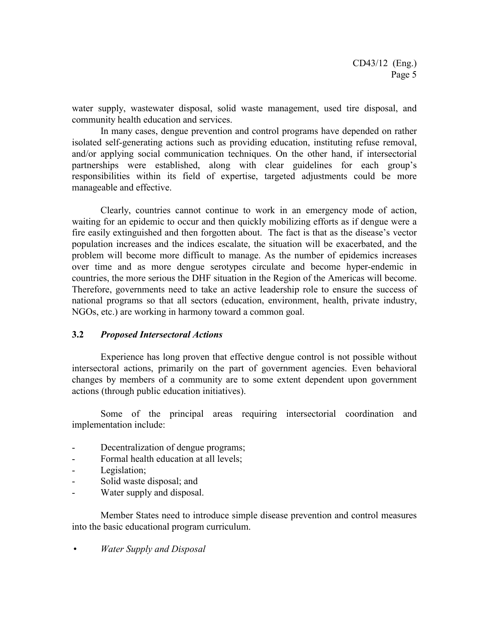water supply, wastewater disposal, solid waste management, used tire disposal, and community health education and services.

In many cases, dengue prevention and control programs have depended on rather isolated self-generating actions such as providing education, instituting refuse removal, and/or applying social communication techniques. On the other hand, if intersectorial partnerships were established, along with clear guidelines for each group's responsibilities within its field of expertise, targeted adjustments could be more manageable and effective.

Clearly, countries cannot continue to work in an emergency mode of action, waiting for an epidemic to occur and then quickly mobilizing efforts as if dengue were a fire easily extinguished and then forgotten about. The fact is that as the disease's vector population increases and the indices escalate, the situation will be exacerbated, and the problem will become more difficult to manage. As the number of epidemics increases over time and as more dengue serotypes circulate and become hyper-endemic in countries, the more serious the DHF situation in the Region of the Americas will become. Therefore, governments need to take an active leadership role to ensure the success of national programs so that all sectors (education, environment, health, private industry, NGOs, etc.) are working in harmony toward a common goal.

#### **3.2** *Proposed Intersectoral Actions*

Experience has long proven that effective dengue control is not possible without intersectoral actions, primarily on the part of government agencies. Even behavioral changes by members of a community are to some extent dependent upon government actions (through public education initiatives).

Some of the principal areas requiring intersectorial coordination and implementation include:

- Decentralization of dengue programs;
- Formal health education at all levels;
- Legislation;
- Solid waste disposal; and
- Water supply and disposal.

Member States need to introduce simple disease prevention and control measures into the basic educational program curriculum.

*Water Supply and Disposal*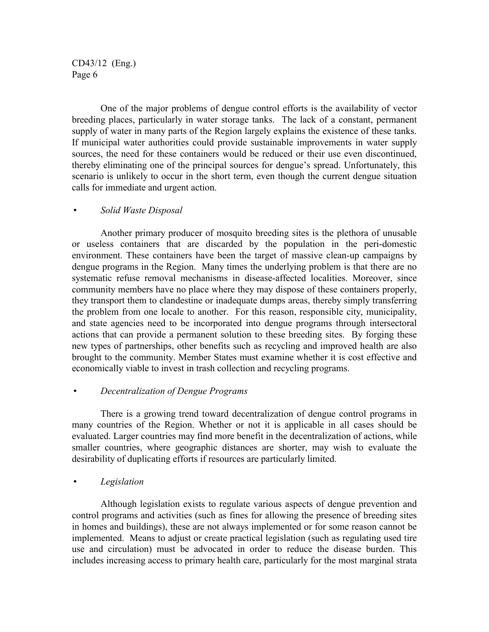One of the major problems of dengue control efforts is the availability of vector breeding places, particularly in water storage tanks. The lack of a constant, permanent supply of water in many parts of the Region largely explains the existence of these tanks. If municipal water authorities could provide sustainable improvements in water supply sources, the need for these containers would be reduced or their use even discontinued, thereby eliminating one of the principal sources for dengue's spread. Unfortunately, this scenario is unlikely to occur in the short term, even though the current dengue situation calls for immediate and urgent action.

#### *Solid Waste Disposal*

Another primary producer of mosquito breeding sites is the plethora of unusable or useless containers that are discarded by the population in the peri-domestic environment. These containers have been the target of massive clean-up campaigns by dengue programs in the Region. Many times the underlying problem is that there are no systematic refuse removal mechanisms in disease-affected localities. Moreover, since community members have no place where they may dispose of these containers properly, they transport them to clandestine or inadequate dumps areas, thereby simply transferring the problem from one locale to another. For this reason, responsible city, municipality, and state agencies need to be incorporated into dengue programs through intersectoral actions that can provide a permanent solution to these breeding sites. By forging these new types of partnerships, other benefits such as recycling and improved health are also brought to the community. Member States must examine whether it is cost effective and economically viable to invest in trash collection and recycling programs.

#### *Decentralization of Dengue Programs*

There is a growing trend toward decentralization of dengue control programs in many countries of the Region. Whether or not it is applicable in all cases should be evaluated. Larger countries may find more benefit in the decentralization of actions, while smaller countries, where geographic distances are shorter, may wish to evaluate the desirability of duplicating efforts if resources are particularly limited.

*Legislation*

Although legislation exists to regulate various aspects of dengue prevention and control programs and activities (such as fines for allowing the presence of breeding sites in homes and buildings), these are not always implemented or for some reason cannot be implemented. Means to adjust or create practical legislation (such as regulating used tire use and circulation) must be advocated in order to reduce the disease burden. This includes increasing access to primary health care, particularly for the most marginal strata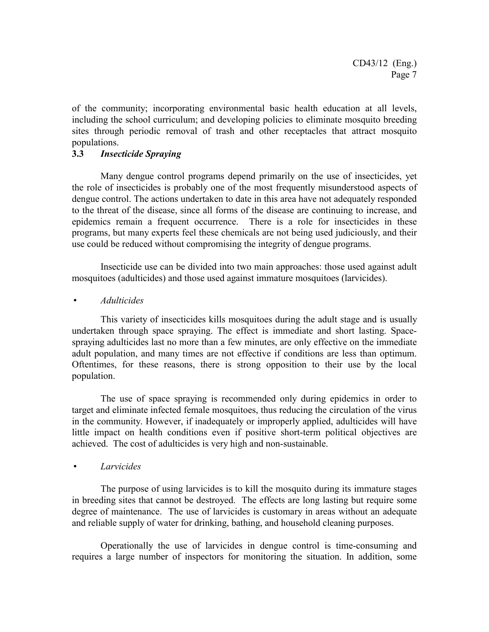of the community; incorporating environmental basic health education at all levels, including the school curriculum; and developing policies to eliminate mosquito breeding sites through periodic removal of trash and other receptacles that attract mosquito populations.

#### **3.3** *Insecticide Spraying*

Many dengue control programs depend primarily on the use of insecticides, yet the role of insecticides is probably one of the most frequently misunderstood aspects of dengue control. The actions undertaken to date in this area have not adequately responded to the threat of the disease, since all forms of the disease are continuing to increase, and epidemics remain a frequent occurrence. There is a role for insecticides in these programs, but many experts feel these chemicals are not being used judiciously, and their use could be reduced without compromising the integrity of dengue programs.

Insecticide use can be divided into two main approaches: those used against adult mosquitoes (adulticides) and those used against immature mosquitoes (larvicides).

#### *Adulticides*

This variety of insecticides kills mosquitoes during the adult stage and is usually undertaken through space spraying. The effect is immediate and short lasting. Spacespraying adulticides last no more than a few minutes, are only effective on the immediate adult population, and many times are not effective if conditions are less than optimum. Oftentimes, for these reasons, there is strong opposition to their use by the local population.

The use of space spraying is recommended only during epidemics in order to target and eliminate infected female mosquitoes, thus reducing the circulation of the virus in the community. However, if inadequately or improperly applied, adulticides will have little impact on health conditions even if positive short-term political objectives are achieved. The cost of adulticides is very high and non-sustainable.

#### *Larvicides*

The purpose of using larvicides is to kill the mosquito during its immature stages in breeding sites that cannot be destroyed. The effects are long lasting but require some degree of maintenance. The use of larvicides is customary in areas without an adequate and reliable supply of water for drinking, bathing, and household cleaning purposes.

Operationally the use of larvicides in dengue control is time-consuming and requires a large number of inspectors for monitoring the situation. In addition, some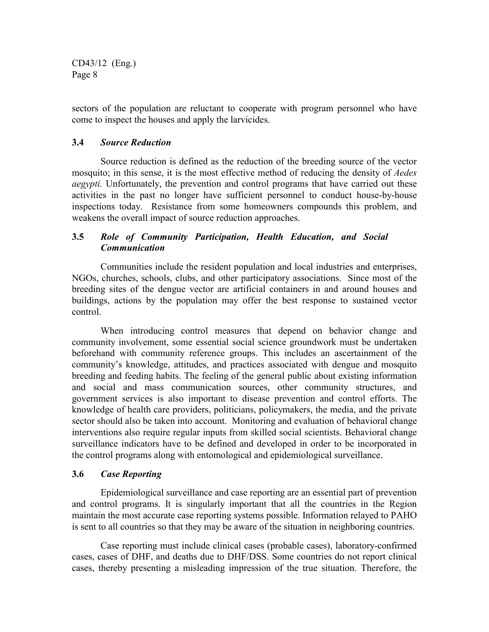sectors of the population are reluctant to cooperate with program personnel who have come to inspect the houses and apply the larvicides.

#### **3.4** *Source Reduction*

Source reduction is defined as the reduction of the breeding source of the vector mosquito; in this sense, it is the most effective method of reducing the density of *Aedes aegypti.* Unfortunately, the prevention and control programs that have carried out these activities in the past no longer have sufficient personnel to conduct house-by-house inspections today. Resistance from some homeowners compounds this problem, and weakens the overall impact of source reduction approaches.

# **3.5** *Role of Community Participation, Health Education, and Social Communication*

Communities include the resident population and local industries and enterprises, NGOs, churches, schools, clubs, and other participatory associations. Since most of the breeding sites of the dengue vector are artificial containers in and around houses and buildings, actions by the population may offer the best response to sustained vector control.

When introducing control measures that depend on behavior change and community involvement, some essential social science groundwork must be undertaken beforehand with community reference groups. This includes an ascertainment of the community's knowledge, attitudes, and practices associated with dengue and mosquito breeding and feeding habits. The feeling of the general public about existing information and social and mass communication sources, other community structures, and government services is also important to disease prevention and control efforts. The knowledge of health care providers, politicians, policymakers, the media, and the private sector should also be taken into account. Monitoring and evaluation of behavioral change interventions also require regular inputs from skilled social scientists. Behavioral change surveillance indicators have to be defined and developed in order to be incorporated in the control programs along with entomological and epidemiological surveillance.

# **3.6** *Case Reporting*

Epidemiological surveillance and case reporting are an essential part of prevention and control programs. It is singularly important that all the countries in the Region maintain the most accurate case reporting systems possible. Information relayed to PAHO is sent to all countries so that they may be aware of the situation in neighboring countries.

Case reporting must include clinical cases (probable cases), laboratory-confirmed cases, cases of DHF, and deaths due to DHF/DSS. Some countries do not report clinical cases, thereby presenting a misleading impression of the true situation. Therefore, the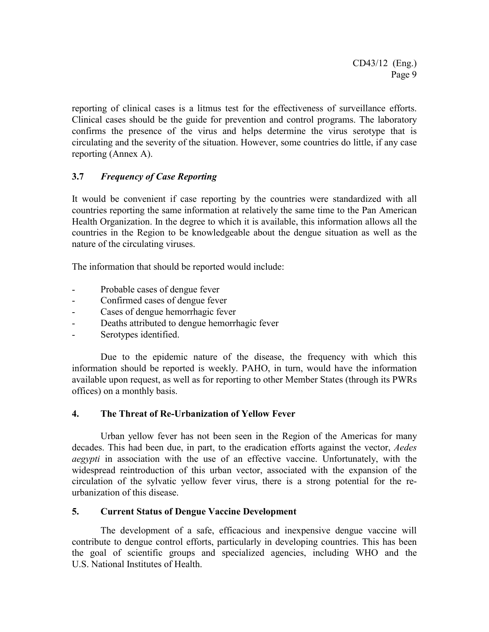reporting of clinical cases is a litmus test for the effectiveness of surveillance efforts. Clinical cases should be the guide for prevention and control programs. The laboratory confirms the presence of the virus and helps determine the virus serotype that is circulating and the severity of the situation. However, some countries do little, if any case reporting (Annex A).

# **3.7** *Frequency of Case Reporting*

It would be convenient if case reporting by the countries were standardized with all countries reporting the same information at relatively the same time to the Pan American Health Organization. In the degree to which it is available, this information allows all the countries in the Region to be knowledgeable about the dengue situation as well as the nature of the circulating viruses.

The information that should be reported would include:

- Probable cases of dengue fever
- Confirmed cases of dengue fever
- Cases of dengue hemorrhagic fever
- Deaths attributed to dengue hemorrhagic fever
- Serotypes identified.

Due to the epidemic nature of the disease, the frequency with which this information should be reported is weekly. PAHO, in turn, would have the information available upon request, as well as for reporting to other Member States (through its PWRs offices) on a monthly basis.

# **4. The Threat of Re-Urbanization of Yellow Fever**

Urban yellow fever has not been seen in the Region of the Americas for many decades. This had been due, in part, to the eradication efforts against the vector, *Aedes aegypti* in association with the use of an effective vaccine. Unfortunately, with the widespread reintroduction of this urban vector, associated with the expansion of the circulation of the sylvatic yellow fever virus, there is a strong potential for the reurbanization of this disease.

# **5. Current Status of Dengue Vaccine Development**

The development of a safe, efficacious and inexpensive dengue vaccine will contribute to dengue control efforts, particularly in developing countries. This has been the goal of scientific groups and specialized agencies, including WHO and the U.S. National Institutes of Health.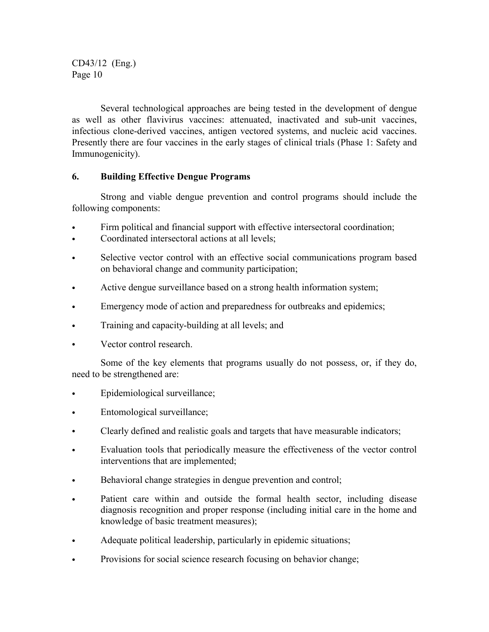Several technological approaches are being tested in the development of dengue as well as other flavivirus vaccines: attenuated, inactivated and sub-unit vaccines, infectious clone-derived vaccines, antigen vectored systems, and nucleic acid vaccines. Presently there are four vaccines in the early stages of clinical trials (Phase 1: Safety and Immunogenicity).

# **6. Building Effective Dengue Programs**

Strong and viable dengue prevention and control programs should include the following components:

- Firm political and financial support with effective intersectoral coordination;
- Coordinated intersectoral actions at all levels;
- Selective vector control with an effective social communications program based on behavioral change and community participation;
- Active dengue surveillance based on a strong health information system;
- Emergency mode of action and preparedness for outbreaks and epidemics;
- Training and capacity-building at all levels; and
- Vector control research.

Some of the key elements that programs usually do not possess, or, if they do, need to be strengthened are:

- Epidemiological surveillance;
- Entomological surveillance;
- Clearly defined and realistic goals and targets that have measurable indicators;
- Evaluation tools that periodically measure the effectiveness of the vector control interventions that are implemented;
- Behavioral change strategies in dengue prevention and control;
- Patient care within and outside the formal health sector, including disease diagnosis recognition and proper response (including initial care in the home and knowledge of basic treatment measures);
- Adequate political leadership, particularly in epidemic situations;
- Provisions for social science research focusing on behavior change;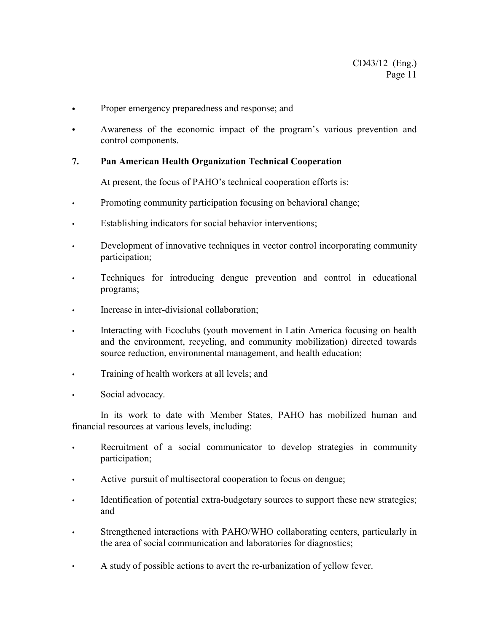- Proper emergency preparedness and response; and
- Awareness of the economic impact of the program's various prevention and control components.

#### **7. Pan American Health Organization Technical Cooperation**

At present, the focus of PAHO's technical cooperation efforts is:

- Promoting community participation focusing on behavioral change;
- Establishing indicators for social behavior interventions;
- Development of innovative techniques in vector control incorporating community participation;
- Techniques for introducing dengue prevention and control in educational programs;
- Increase in inter-divisional collaboration;
- Interacting with Ecoclubs (youth movement in Latin America focusing on health and the environment, recycling, and community mobilization) directed towards source reduction, environmental management, and health education;
- Training of health workers at all levels; and
- Social advocacy.

In its work to date with Member States, PAHO has mobilized human and financial resources at various levels, including:

- Recruitment of a social communicator to develop strategies in community participation;
- Active pursuit of multisectoral cooperation to focus on dengue;
- Identification of potential extra-budgetary sources to support these new strategies; and
- Strengthened interactions with PAHO/WHO collaborating centers, particularly in the area of social communication and laboratories for diagnostics;
- A study of possible actions to avert the re-urbanization of yellow fever.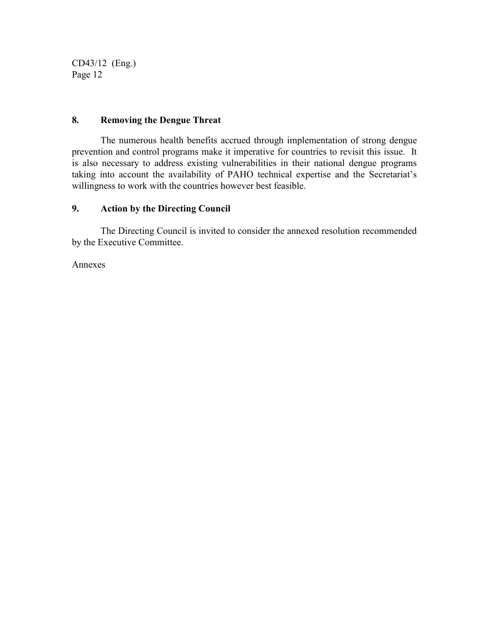# **8. Removing the Dengue Threat**

The numerous health benefits accrued through implementation of strong dengue prevention and control programs make it imperative for countries to revisit this issue. It is also necessary to address existing vulnerabilities in their national dengue programs taking into account the availability of PAHO technical expertise and the Secretariat's willingness to work with the countries however best feasible.

# **9. Action by the Directing Council**

The Directing Council is invited to consider the annexed resolution recommended by the Executive Committee.

Annexes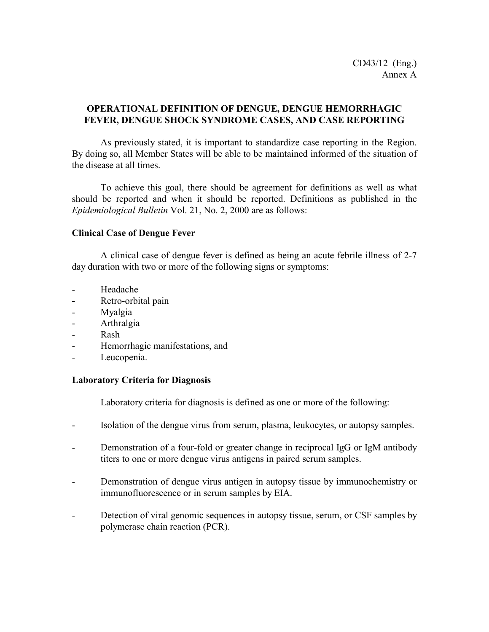# **OPERATIONAL DEFINITION OF DENGUE, DENGUE HEMORRHAGIC FEVER, DENGUE SHOCK SYNDROME CASES, AND CASE REPORTING**

As previously stated, it is important to standardize case reporting in the Region. By doing so, all Member States will be able to be maintained informed of the situation of the disease at all times.

To achieve this goal, there should be agreement for definitions as well as what should be reported and when it should be reported. Definitions as published in the *Epidemiological Bulletin* Vol. 21, No. 2, 2000 are as follows:

#### **Clinical Case of Dengue Fever**

A clinical case of dengue fever is defined as being an acute febrile illness of 2-7 day duration with two or more of the following signs or symptoms:

- Headache
- **-** Retro-orbital pain
- Myalgia
- Arthralgia
- Rash
- Hemorrhagic manifestations, and
- Leucopenia.

#### **Laboratory Criteria for Diagnosis**

Laboratory criteria for diagnosis is defined as one or more of the following:

- Isolation of the dengue virus from serum, plasma, leukocytes, or autopsy samples.
- Demonstration of a four-fold or greater change in reciprocal IgG or IgM antibody titers to one or more dengue virus antigens in paired serum samples.
- Demonstration of dengue virus antigen in autopsy tissue by immunochemistry or immunofluorescence or in serum samples by EIA.
- Detection of viral genomic sequences in autopsy tissue, serum, or CSF samples by polymerase chain reaction (PCR).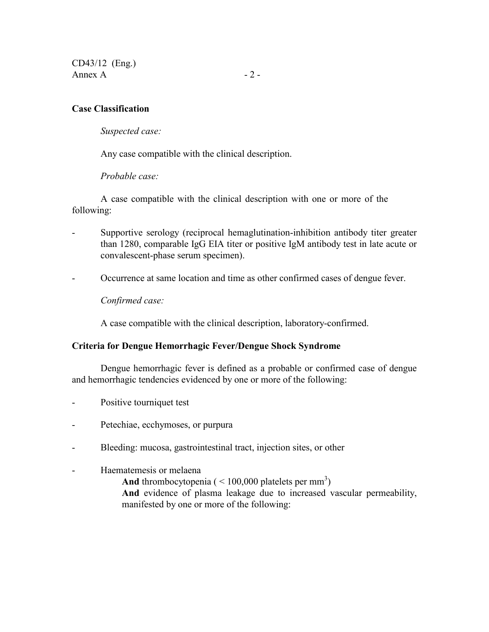CD43/12 (Eng.) Annex  $\overline{A}$  - 2 -

#### **Case Classification**

*Suspected case:*

Any case compatible with the clinical description.

*Probable case:*

A case compatible with the clinical description with one or more of the following:

- Supportive serology (reciprocal hemaglutination-inhibition antibody titer greater than 1280, comparable IgG EIA titer or positive IgM antibody test in late acute or convalescent-phase serum specimen).
- Occurrence at same location and time as other confirmed cases of dengue fever.

*Confirmed case:*

A case compatible with the clinical description, laboratory-confirmed.

#### **Criteria for Dengue Hemorrhagic Fever/Dengue Shock Syndrome**

Dengue hemorrhagic fever is defined as a probable or confirmed case of dengue and hemorrhagic tendencies evidenced by one or more of the following:

- Positive tourniquet test
- Petechiae, ecchymoses, or purpura
- Bleeding: mucosa, gastrointestinal tract, injection sites, or other
- Haematemesis or melaena And thrombocytopenia  $(< 100,000$  platelets per mm<sup>3</sup>) **And** evidence of plasma leakage due to increased vascular permeability, manifested by one or more of the following: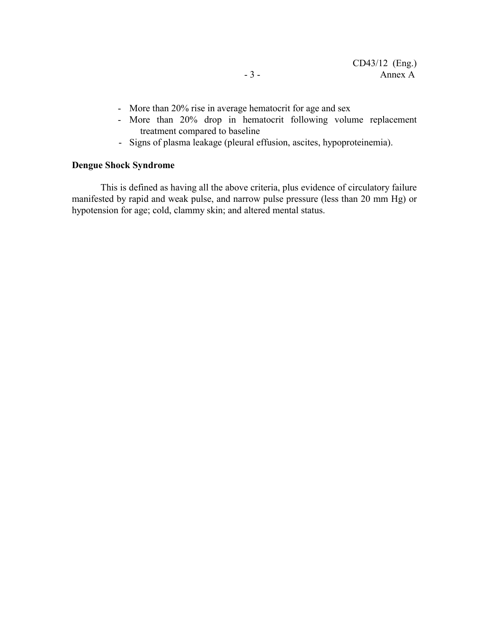- More than 20% rise in average hematocrit for age and sex
- More than 20% drop in hematocrit following volume replacement treatment compared to baseline
- Signs of plasma leakage (pleural effusion, ascites, hypoproteinemia).

#### **Dengue Shock Syndrome**

This is defined as having all the above criteria, plus evidence of circulatory failure manifested by rapid and weak pulse, and narrow pulse pressure (less than 20 mm Hg) or hypotension for age; cold, clammy skin; and altered mental status.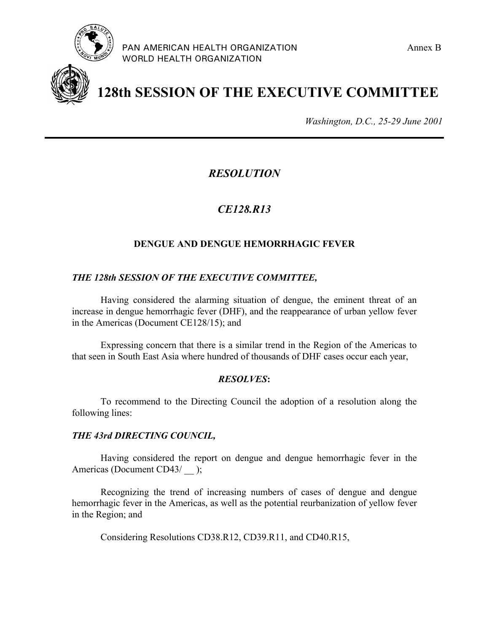



**128th SESSION OF THE EXECUTIVE COMMITTEE**

*Washington, D.C., 25-29 June 2001*

*RESOLUTION*

# *CE128.R13*

# **DENGUE AND DENGUE HEMORRHAGIC FEVER**

# *THE 128th SESSION OF THE EXECUTIVE COMMITTEE,*

Having considered the alarming situation of dengue, the eminent threat of an increase in dengue hemorrhagic fever (DHF), and the reappearance of urban yellow fever in the Americas (Document CE128/15); and

Expressing concern that there is a similar trend in the Region of the Americas to that seen in South East Asia where hundred of thousands of DHF cases occur each year,

# *RESOLVES***:**

To recommend to the Directing Council the adoption of a resolution along the following lines:

# *THE 43rd DIRECTING COUNCIL,*

Having considered the report on dengue and dengue hemorrhagic fever in the Americas (Document CD43/ );

Recognizing the trend of increasing numbers of cases of dengue and dengue hemorrhagic fever in the Americas, as well as the potential reurbanization of yellow fever in the Region; and

Considering Resolutions CD38.R12, CD39.R11, and CD40.R15,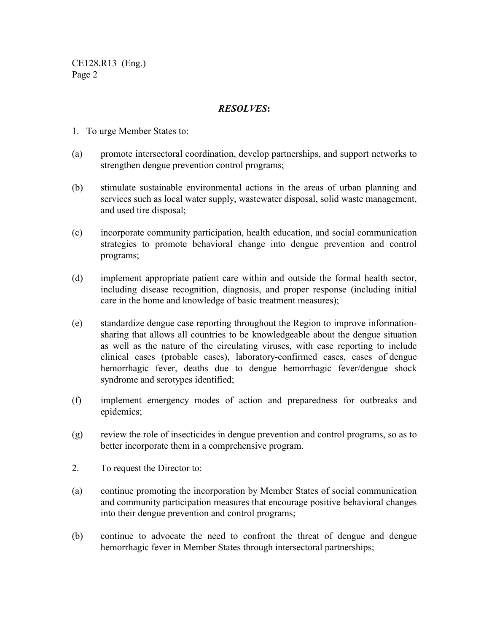CE128.R13 (Eng.) Page 2

#### *RESOLVES***:**

- 1. To urge Member States to:
- (a) promote intersectoral coordination, develop partnerships, and support networks to strengthen dengue prevention control programs;
- (b) stimulate sustainable environmental actions in the areas of urban planning and services such as local water supply, wastewater disposal, solid waste management, and used tire disposal;
- (c) incorporate community participation, health education, and social communication strategies to promote behavioral change into dengue prevention and control programs;
- (d) implement appropriate patient care within and outside the formal health sector, including disease recognition, diagnosis, and proper response (including initial care in the home and knowledge of basic treatment measures);
- (e) standardize dengue case reporting throughout the Region to improve informationsharing that allows all countries to be knowledgeable about the dengue situation as well as the nature of the circulating viruses, with case reporting to include clinical cases (probable cases), laboratory-confirmed cases, cases of`dengue hemorrhagic fever, deaths due to dengue hemorrhagic fever/dengue shock syndrome and serotypes identified;
- (f) implement emergency modes of action and preparedness for outbreaks and epidemics;
- (g) review the role of insecticides in dengue prevention and control programs, so as to better incorporate them in a comprehensive program.
- 2. To request the Director to:
- (a) continue promoting the incorporation by Member States of social communication and community participation measures that encourage positive behavioral changes into their dengue prevention and control programs;
- (b) continue to advocate the need to confront the threat of dengue and dengue hemorrhagic fever in Member States through intersectoral partnerships;